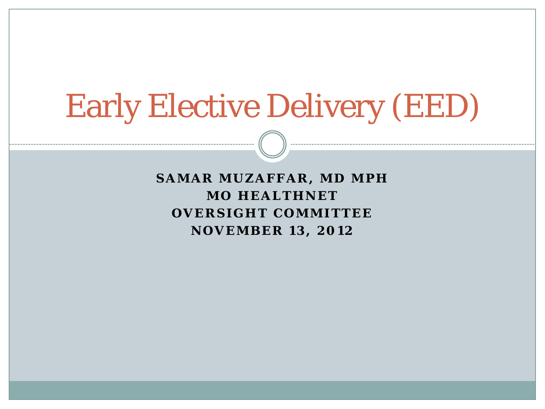# Early Elective Delivery (EED)

**SAMAR MUZAFFAR, MD MPH MO HEALTHNET OVERSIGHT COMMITTEE NOVEMBER 13, 2012**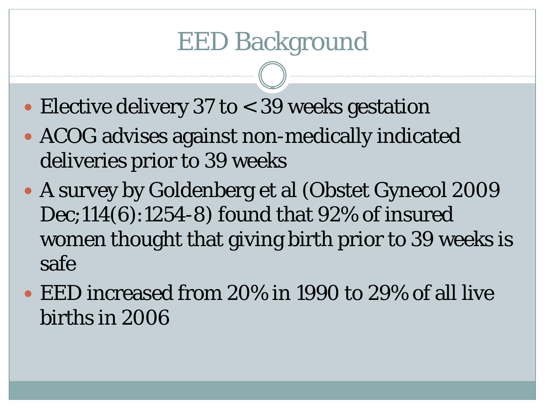- Elective delivery 37 to < 39 weeks gestation
- ACOG advises against non-medically indicated deliveries prior to 39 weeks
- A survey by Goldenberg et al (Obstet Gynecol 2009 Dec;114(6):1254-8) found that 92% of insured women thought that giving birth prior to 39 weeks is safe
- EED increased from 20% in 1990 to 29% of all live births in 2006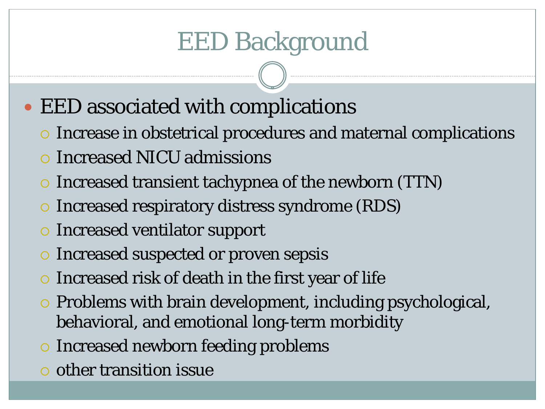- EED associated with complications
	- Increase in obstetrical procedures and maternal complications
	- Increased NICU admissions
	- Increased transient tachypnea of the newborn (TTN)
	- Increased respiratory distress syndrome (RDS)
	- Increased ventilator support
	- Increased suspected or proven sepsis
	- $\circ$  Increased risk of death in the first year of life
	- Problems with brain development, including psychological, behavioral, and emotional long-term morbidity
	- o Increased newborn feeding problems
	- $\circ$  other transition issue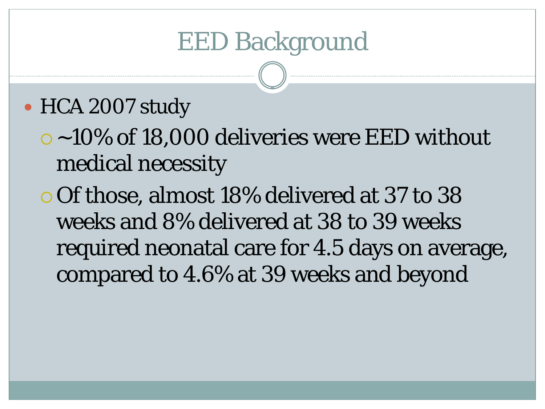#### • HCA 2007 study

 ~10% of 18,000 deliveries were EED without medical necessity

 Of those, almost 18% delivered at 37 to 38 weeks and 8% delivered at 38 to 39 weeks required neonatal care for 4.5 days on average, compared to 4.6% at 39 weeks and beyond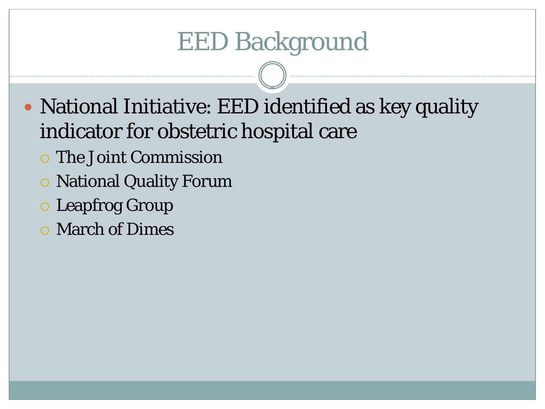- National Initiative: EED identified as key quality indicator for obstetric hospital care
	- The Joint Commission
	- National Quality Forum
	- Leapfrog Group
	- March of Dimes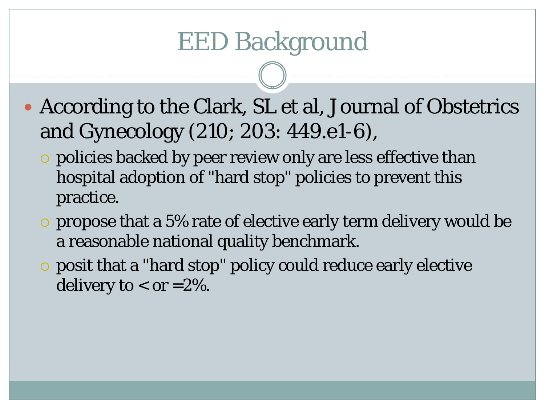- According to the Clark, SL et al, Journal of Obstetrics and Gynecology (210; 203: 449.e1-6),
	- policies backed by peer review only are less effective than hospital adoption of "hard stop" policies to prevent this practice.
	- propose that a 5% rate of elective early term delivery would be a reasonable national quality benchmark.
	- posit that a "hard stop" policy could reduce early elective delivery to  $<$  or  $=$  2%.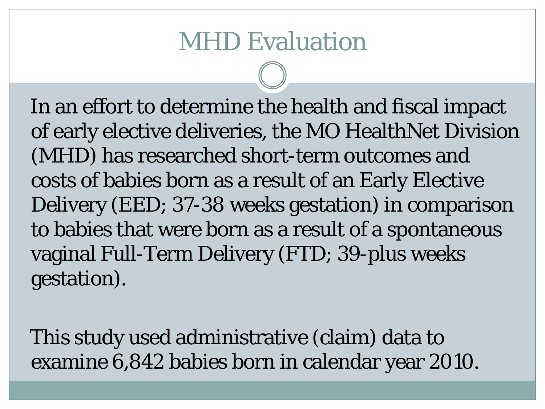In an effort to determine the health and fiscal impact of early elective deliveries, the MO HealthNet Division (MHD) has researched short-term outcomes and costs of babies born as a result of an Early Elective Delivery (EED; 37-38 weeks gestation) in comparison to babies that were born as a result of a spontaneous vaginal Full-Term Delivery (FTD; 39-plus weeks gestation).

This study used administrative (claim) data to examine 6,842 babies born in calendar year 2010.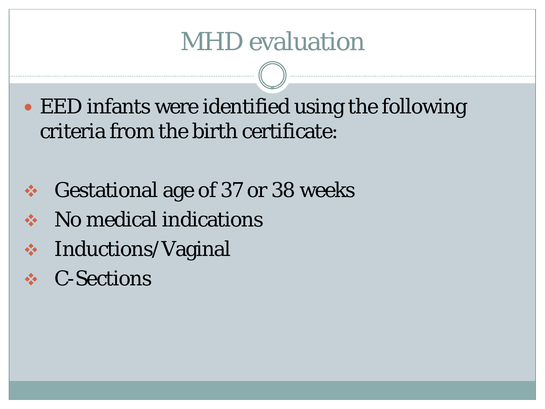EED infants were identified using the following criteria from the birth certificate:

- **↔ Gestational age of 37 or 38 weeks**
- **❖** No medical indications
- **❖** Inductions/Vaginal
- C-Sections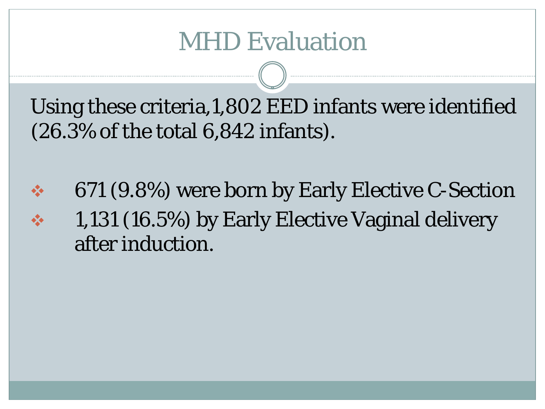Using these criteria,1,802 EED infants were identified (26.3% of the total 6,842 infants).

 671 (9.8%) were born by Early Elective C-Section 1,131 (16.5%) by Early Elective Vaginal delivery after induction.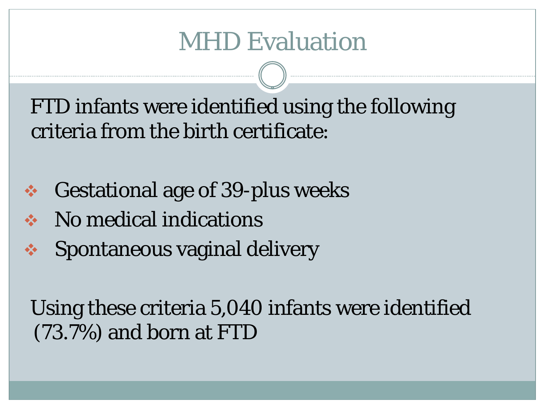FTD infants were identified using the following criteria from the birth certificate:

- **❖** Gestational age of 39-plus weeks
- **❖** No medical indications
- **❖** Spontaneous vaginal delivery

Using these criteria 5,040 infants were identified (73.7%) and born at FTD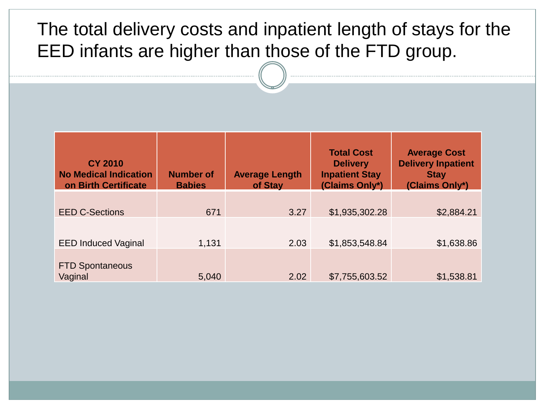#### The total delivery costs and inpatient length of stays for the EED infants are higher than those of the FTD group.

| <b>CY 2010</b><br><b>No Medical Indication</b><br>on Birth Certificate | <b>Number of</b><br><b>Babies</b> | <b>Average Length</b><br>of Stay | <b>Total Cost</b><br><b>Delivery</b><br><b>Inpatient Stay</b><br>(Claims Only*) | <b>Average Cost</b><br><b>Delivery Inpatient</b><br><b>Stay</b><br>(Claims Only*) |
|------------------------------------------------------------------------|-----------------------------------|----------------------------------|---------------------------------------------------------------------------------|-----------------------------------------------------------------------------------|
|                                                                        |                                   |                                  |                                                                                 |                                                                                   |
| <b>EED C-Sections</b>                                                  | 671                               | 3.27                             | \$1,935,302.28                                                                  | \$2,884.21                                                                        |
|                                                                        |                                   |                                  |                                                                                 |                                                                                   |
| <b>EED Induced Vaginal</b>                                             | 1,131                             | 2.03                             | \$1,853,548.84                                                                  | \$1,638.86                                                                        |
| <b>FTD Spontaneous</b><br>Vaginal                                      | 5,040                             | 2.02                             | \$7,755,603.52                                                                  | \$1,538.81                                                                        |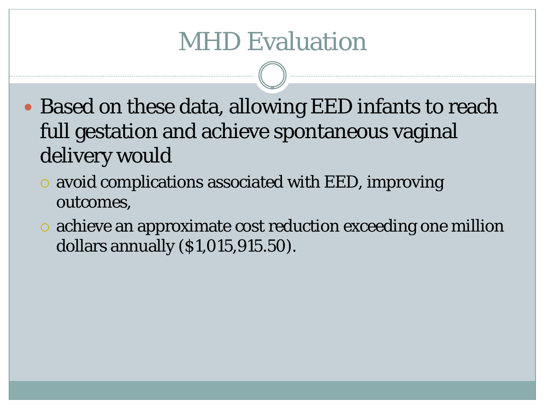- Based on these data, allowing EED infants to reach full gestation and achieve spontaneous vaginal delivery would
	- avoid complications associated with EED, improving outcomes,
	- achieve an approximate cost reduction exceeding one million dollars annually (\$1,015,915.50).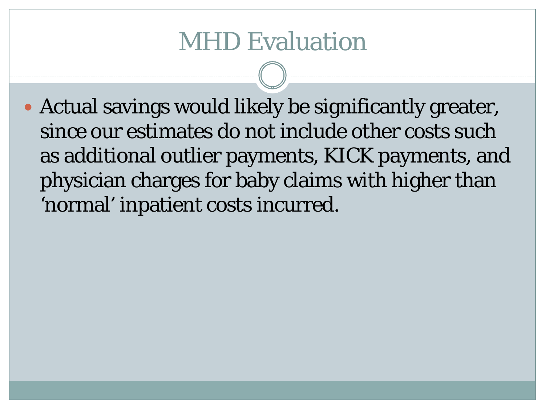Actual savings would likely be significantly greater, since our estimates do not include other costs such as additional outlier payments, KICK payments, and physician charges for baby claims with higher than 'normal' inpatient costs incurred.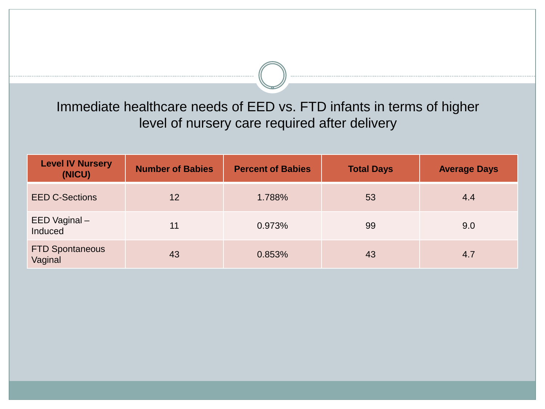Immediate healthcare needs of EED vs. FTD infants in terms of higher level of nursery care required after delivery

| <b>Level IV Nursery</b><br>(NICU) | <b>Number of Babies</b> | <b>Percent of Babies</b> | <b>Total Days</b> | <b>Average Days</b> |
|-----------------------------------|-------------------------|--------------------------|-------------------|---------------------|
| <b>EED C-Sections</b>             | 12                      | 1.788%                   | 53                | 4.4                 |
| EED Vaginal-<br>Induced           | 11                      | 0.973%                   | 99                | 9.0                 |
| <b>FTD Spontaneous</b><br>Vaginal | 43                      | 0.853%                   | 43                | 4.7                 |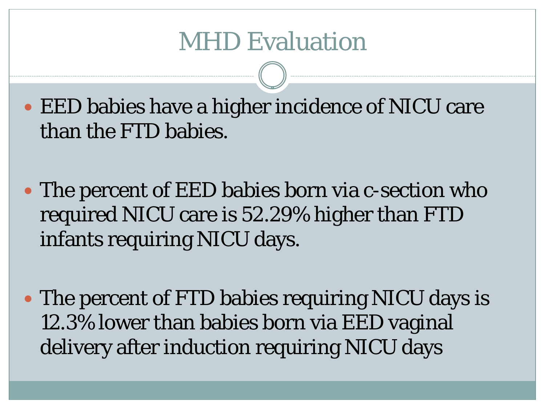EED babies have a higher incidence of NICU care than the FTD babies.

 The percent of EED babies born via c-section who required NICU care is 52.29% higher than FTD infants requiring NICU days.

 The percent of FTD babies requiring NICU days is 12.3% lower than babies born via EED vaginal delivery after induction requiring NICU days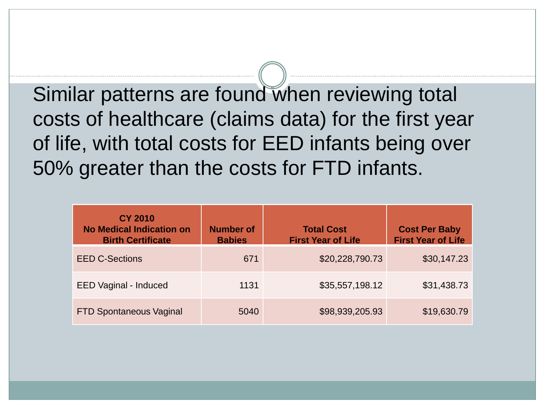Similar patterns are found when reviewing total costs of healthcare (claims data) for the first year of life, with total costs for EED infants being over 50% greater than the costs for FTD infants.

| <b>CY 2010</b><br><b>No Medical Indication on</b><br><b>Birth Certificate</b> | <b>Number of</b><br><b>Babies</b> | <b>Total Cost</b><br><b>First Year of Life</b> | <b>Cost Per Baby</b><br><b>First Year of Life</b> |
|-------------------------------------------------------------------------------|-----------------------------------|------------------------------------------------|---------------------------------------------------|
| <b>EED C-Sections</b>                                                         | 671                               | \$20,228,790.73                                | \$30,147.23                                       |
| <b>EED Vaginal - Induced</b>                                                  | 1131                              | \$35,557,198.12                                | \$31,438.73                                       |
| <b>FTD Spontaneous Vaginal</b>                                                | 5040                              | \$98,939,205.93                                | \$19,630.79                                       |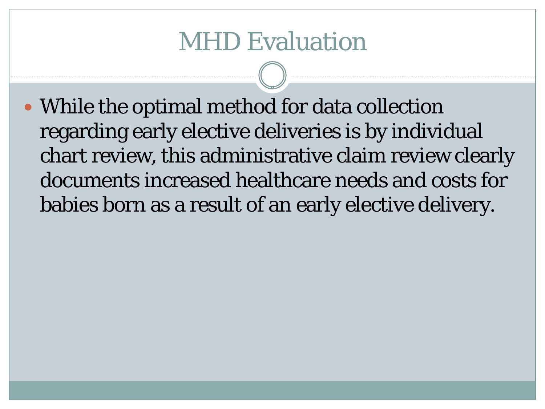• While the optimal method for data collection regarding early elective deliveries is by individual chart review, this administrative claim review clearly documents increased healthcare needs and costs for babies born as a result of an early elective delivery.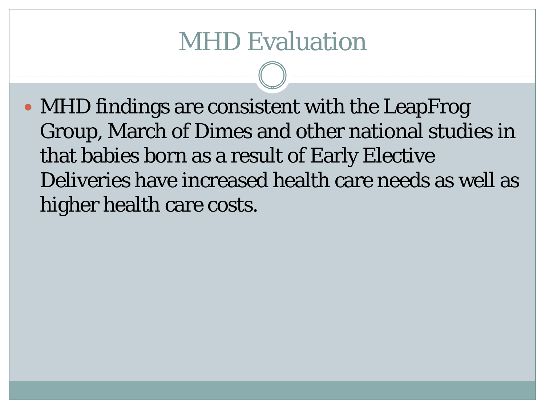• MHD findings are consistent with the LeapFrog Group, March of Dimes and other national studies in that babies born as a result of Early Elective Deliveries have increased health care needs as well as higher health care costs.